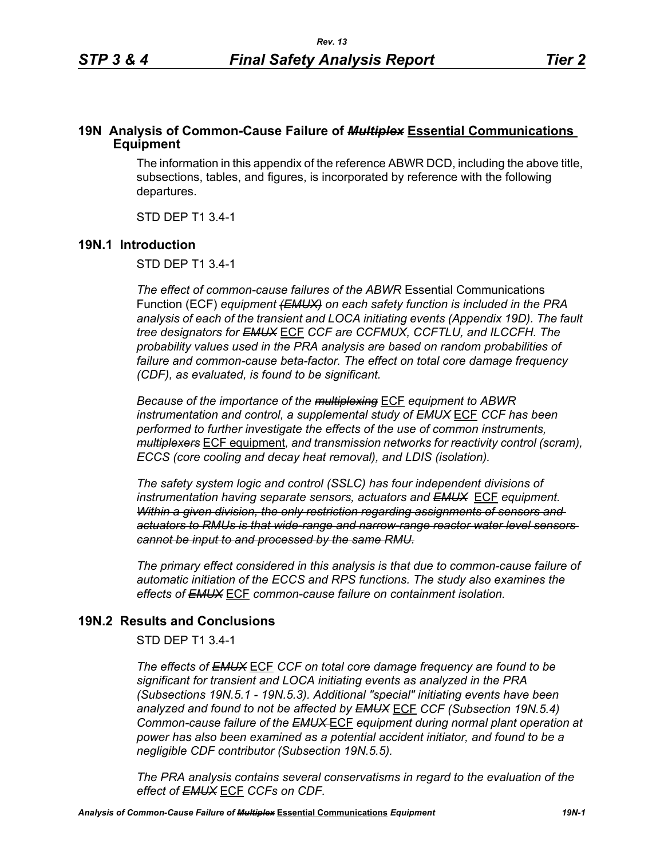# **19N Analysis of Common-Cause Failure of** *Multiplex* **Essential Communications Equipment**

The information in this appendix of the reference ABWR DCD, including the above title, subsections, tables, and figures, is incorporated by reference with the following departures.

STD DEP T1 3.4-1

# **19N.1 Introduction**

STD DEP T1 3.4-1

*The effect of common-cause failures of the ABWR* Essential Communications Function (ECF) *equipment (EMUX) on each safety function is included in the PRA analysis of each of the transient and LOCA initiating events (Appendix 19D). The fault tree designators for EMUX* ECF *CCF are CCFMUX, CCFTLU, and ILCCFH. The probability values used in the PRA analysis are based on random probabilities of failure and common-cause beta-factor. The effect on total core damage frequency (CDF), as evaluated, is found to be significant.* 

*Because of the importance of the multiplexing* ECF *equipment to ABWR instrumentation and control, a supplemental study of EMUX* ECF *CCF has been performed to further investigate the effects of the use of common instruments, multiplexers* ECF equipment*, and transmission networks for reactivity control (scram), ECCS (core cooling and decay heat removal), and LDIS (isolation).* 

*The safety system logic and control (SSLC) has four independent divisions of instrumentation having separate sensors, actuators and EMUX* ECF *equipment. Within a given division, the only restriction regarding assignments of sensors and actuators to RMUs is that wide-range and narrow-range reactor water level sensors cannot be input to and processed by the same RMU.*

*The primary effect considered in this analysis is that due to common-cause failure of automatic initiation of the ECCS and RPS functions. The study also examines the effects of EMUX* ECF *common-cause failure on containment isolation.* 

# **19N.2 Results and Conclusions**

STD DEP T1 3.4-1

*The effects of EMUX* ECF *CCF on total core damage frequency are found to be significant for transient and LOCA initiating events as analyzed in the PRA (Subsections 19N.5.1 - 19N.5.3). Additional "special" initiating events have been analyzed and found to not be affected by EMUX* ECF *CCF (Subsection 19N.5.4) Common-cause failure of the EMUX* ECF *equipment during normal plant operation at power has also been examined as a potential accident initiator, and found to be a negligible CDF contributor (Subsection 19N.5.5).* 

*The PRA analysis contains several conservatisms in regard to the evaluation of the effect of EMUX* ECF *CCFs on CDF.*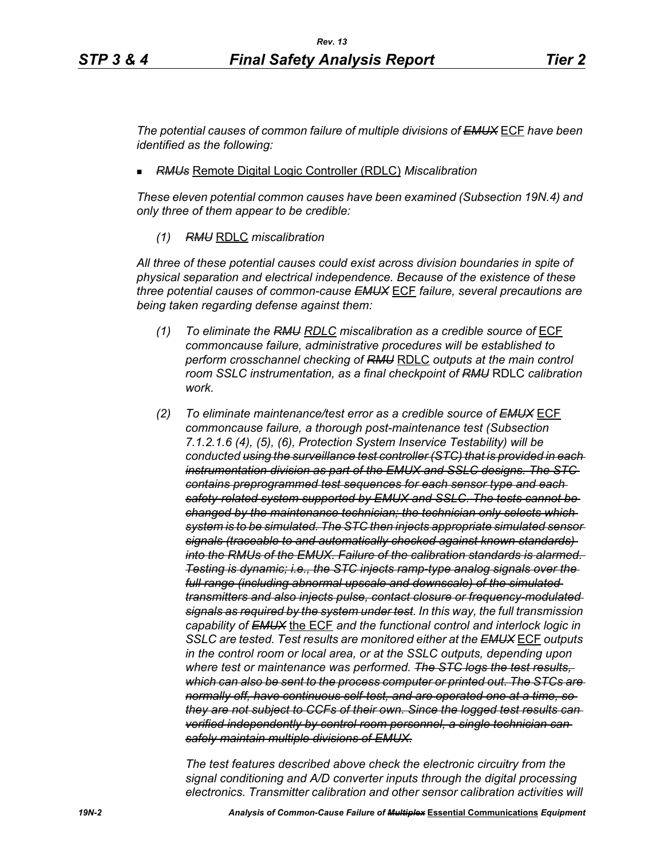*The potential causes of common failure of multiple divisions of EMUX* ECF *have been identified as the following:*

*RMUs* Remote Digital Logic Controller (RDLC) *Miscalibration*

*These eleven potential common causes have been examined (Subsection 19N.4) and only three of them appear to be credible:*

*(1) RMU* RDLC *miscalibration*

*All three of these potential causes could exist across division boundaries in spite of physical separation and electrical independence. Because of the existence of these three potential causes of common-cause EMUX* ECF *failure, several precautions are being taken regarding defense against them:*

- *(1) To eliminate the RMU RDLC miscalibration as a credible source of* ECF *commoncause failure, administrative procedures will be established to perform crosschannel checking of RMU* RDLC *outputs at the main control room SSLC instrumentation, as a final checkpoint of RMU* RDLC *calibration work.*
- *(2) To eliminate maintenance/test error as a credible source of EMUX* ECF *commoncause failure, a thorough post-maintenance test (Subsection 7.1.2.1.6 (4), (5), (6), Protection System Inservice Testability) will be conducted using the surveillance test controller (STC) that is provided in each instrumentation division as part of the EMUX and SSLC designs. The STC contains preprogrammed test sequences for each sensor type and each safety-related system supported by EMUX and SSLC. The tests cannot be changed by the maintenance technician; the technician only selects which system is to be simulated. The STC then injects appropriate simulated sensor signals (traceable to and automatically checked against known standards) into the RMUs of the EMUX. Failure of the calibration standards is alarmed. Testing is dynamic; i.e., the STC injects ramp-type analog signals over the full range (including abnormal upscale and downscale) of the simulated transmitters and also injects pulse, contact closure or frequency-modulated signals as required by the system under test. In this way, the full transmission capability of EMUX* the ECF *and the functional control and interlock logic in SSLC are tested. Test results are monitored either at the EMUX* ECF *outputs in the control room or local area, or at the SSLC outputs, depending upon where test or maintenance was performed. The STC logs the test results, which can also be sent to the process computer or printed out. The STCs are normally off, have continuous self-test, and are operated one at a time, so they are not subject to CCFs of their own. Since the logged test results can verified independently by control room personnel, a single technician can safely maintain multiple divisions of EMUX.*

*The test features described above check the electronic circuitry from the signal conditioning and A/D converter inputs through the digital processing electronics. Transmitter calibration and other sensor calibration activities will*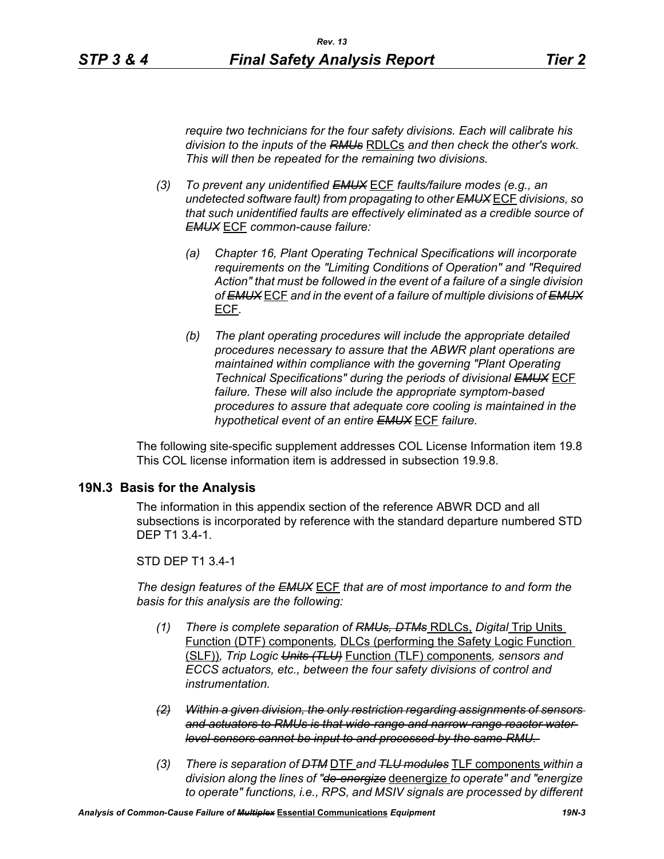*require two technicians for the four safety divisions. Each will calibrate his division to the inputs of the RMUs* RDLCs *and then check the other's work. This will then be repeated for the remaining two divisions.*

- *(3) To prevent any unidentified EMUX* ECF *faults/failure modes (e.g., an undetected software fault) from propagating to other EMUX* ECF *divisions, so that such unidentified faults are effectively eliminated as a credible source of EMUX* ECF *common-cause failure:* 
	- *(a) Chapter 16, Plant Operating Technical Specifications will incorporate requirements on the "Limiting Conditions of Operation" and "Required Action" that must be followed in the event of a failure of a single division of EMUX* ECF *and in the event of a failure of multiple divisions of EMUX* ECF*.*
	- *(b) The plant operating procedures will include the appropriate detailed procedures necessary to assure that the ABWR plant operations are maintained within compliance with the governing "Plant Operating Technical Specifications" during the periods of divisional EMUX* ECF *failure. These will also include the appropriate symptom-based procedures to assure that adequate core cooling is maintained in the hypothetical event of an entire EMUX* ECF *failure.*

The following site-specific supplement addresses COL License Information item 19.8 This COL license information item is addressed in subsection 19.9.8.

### **19N.3 Basis for the Analysis**

The information in this appendix section of the reference ABWR DCD and all subsections is incorporated by reference with the standard departure numbered STD DEP T1 3.4-1.

#### STD DEP T1 3.4-1

*The design features of the EMUX* ECF *that are of most importance to and form the basis for this analysis are the following:*

- *(1) There is complete separation of RMUs, DTMs* RDLCs, *Digital* Trip Units Function (DTF) components*,* DLCs (performing the Safety Logic Function (SLF))*, Trip Logic Units (TLU)* Function (TLF) components*, sensors and ECCS actuators, etc., between the four safety divisions of control and instrumentation.*
- *(2) Within a given division, the only restriction regarding assignments of sensors and actuators to RMUs is that wide-range and narrow-range reactor water level sensors cannot be input to and processed by the same RMU.*
- *(3) There is separation of DTM* DTF *and TLU modules* TLF components *within a division along the lines of "de-energize* deenergize *to operate" and "energize to operate" functions, i.e., RPS, and MSIV signals are processed by different*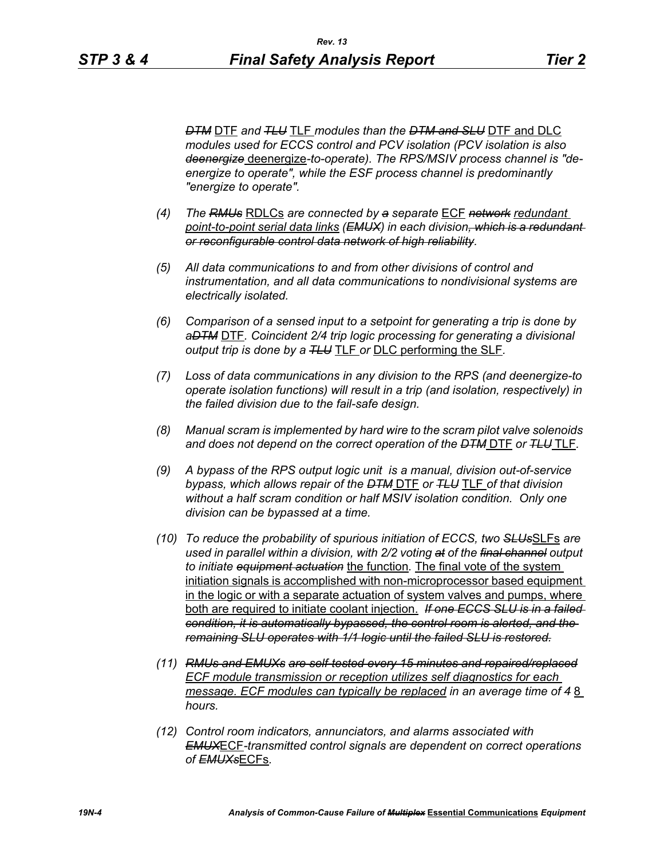*"energize to operate".* 

*DTM* DTF *and TLU* TLF *modules than the DTM and SLU* DTF and DLC *modules used for ECCS control and PCV isolation (PCV isolation is also deenergize* deenergize*-to-operate). The RPS/MSIV process channel is "deenergize to operate", while the ESF process channel is predominantly* 

- *(4) The RMUs* RDLCs *are connected by a separate* ECF *network redundant point-to-point serial data links (EMUX) in each division, which is a redundant or reconfigurable control data network of high reliability.*
- *(5) All data communications to and from other divisions of control and instrumentation, and all data communications to nondivisional systems are electrically isolated.*
- *(6) Comparison of a sensed input to a setpoint for generating a trip is done by aDTM* DTF*. Coincident 2/4 trip logic processing for generating a divisional output trip is done by a TLU* TLF *or* DLC performing the SLF*.*
- *(7) Loss of data communications in any division to the RPS (and deenergize-to operate isolation functions) will result in a trip (and isolation, respectively) in the failed division due to the fail-safe design.*
- *(8) Manual scram is implemented by hard wire to the scram pilot valve solenoids and does not depend on the correct operation of the DTM* DTF *or TLU* TLF*.*
- *(9) A bypass of the RPS output logic unit is a manual, division out-of-service bypass, which allows repair of the DTM* DTF *or TLU* TLF *of that division without a half scram condition or half MSIV isolation condition. Only one division can be bypassed at a time.*
- *(10) To reduce the probability of spurious initiation of ECCS, two SLUs*SLFs *are used in parallel within a division, with 2/2 voting at of the final channel output to initiate equipment actuation* the function*.* The final vote of the system initiation signals is accomplished with non-microprocessor based equipment in the logic or with a separate actuation of system valves and pumps, where both are required to initiate coolant injection. *If one ECCS SLU is in a failed condition, it is automatically bypassed, the control room is alerted, and the remaining SLU operates with 1/1 logic until the failed SLU is restored.*
- *(11) RMUs and EMUXs are self-tested every 15 minutes and repaired/replaced ECF module transmission or reception utilizes self diagnostics for each message. ECF modules can typically be replaced in an average time of 48 hours.*
- *(12) Control room indicators, annunciators, and alarms associated with EMUX*ECF*-transmitted control signals are dependent on correct operations of EMUXs*ECFs*.*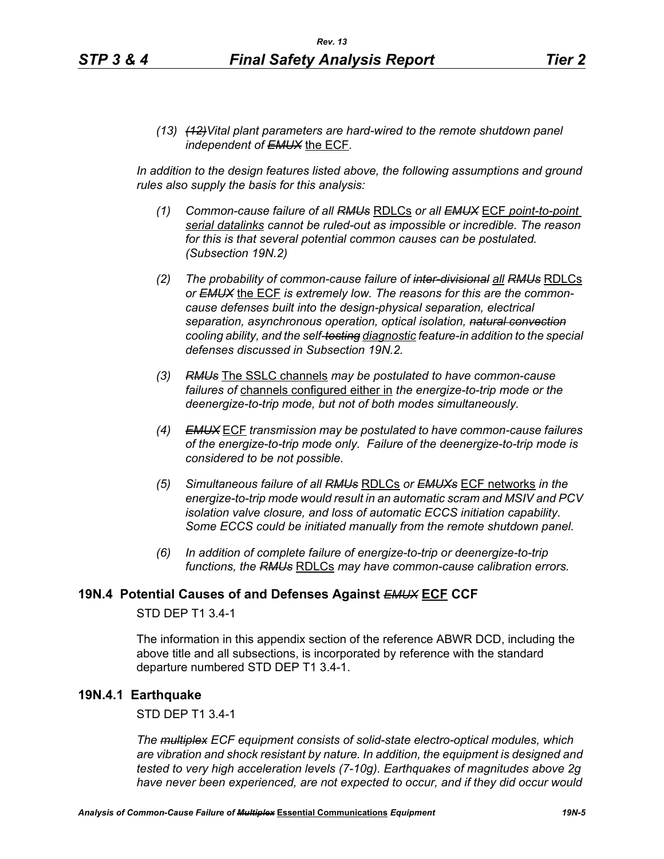*(13) (12)Vital plant parameters are hard-wired to the remote shutdown panel independent of EMUX* the ECF*.* 

In addition to the design features listed above, the following assumptions and ground *rules also supply the basis for this analysis:*

- *(1) Common-cause failure of all RMUs* RDLCs *or all EMUX* ECF *point-to-point serial datalinks cannot be ruled-out as impossible or incredible. The reason for this is that several potential common causes can be postulated. (Subsection 19N.2)*
- *(2) The probability of common-cause failure of inter-divisional all RMUs* RDLCs *or EMUX* the ECF *is extremely low. The reasons for this are the commoncause defenses built into the design-physical separation, electrical separation, asynchronous operation, optical isolation, natural convection cooling ability, and the self-testing diagnostic feature-in addition to the special defenses discussed in Subsection 19N.2.*
- *(3) RMUs* The SSLC channels *may be postulated to have common-cause failures of* channels configured either in *the energize-to-trip mode or the deenergize-to-trip mode, but not of both modes simultaneously.*
- *(4) EMUX* ECF *transmission may be postulated to have common-cause failures of the energize-to-trip mode only. Failure of the deenergize-to-trip mode is considered to be not possible.*
- *(5) Simultaneous failure of all RMUs* RDLCs *or EMUXs* ECF networks *in the energize-to-trip mode would result in an automatic scram and MSIV and PCV isolation valve closure, and loss of automatic ECCS initiation capability. Some ECCS could be initiated manually from the remote shutdown panel.*
- *(6) In addition of complete failure of energize-to-trip or deenergize-to-trip functions, the RMUs* RDLCs *may have common-cause calibration errors.*

### **19N.4 Potential Causes of and Defenses Against** *EMUX* **ECF CCF**

### STD DEP T1 3.4-1

The information in this appendix section of the reference ABWR DCD, including the above title and all subsections, is incorporated by reference with the standard departure numbered STD DEP T1 3.4-1.

### **19N.4.1 Earthquake**

STD DEP T1 3.4-1

*The multiplex ECF equipment consists of solid-state electro-optical modules, which are vibration and shock resistant by nature. In addition, the equipment is designed and tested to very high acceleration levels (7-10g). Earthquakes of magnitudes above 2g have never been experienced, are not expected to occur, and if they did occur would*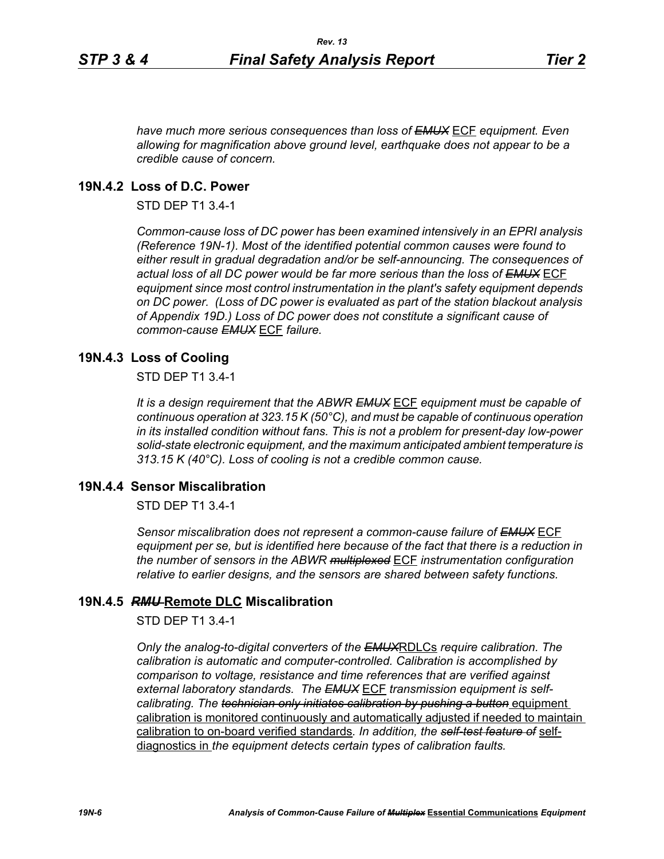*have much more serious consequences than loss of EMUX* ECF *equipment. Even allowing for magnification above ground level, earthquake does not appear to be a credible cause of concern.*

## **19N.4.2 Loss of D.C. Power**

STD DEP T1 3.4-1

*Common-cause loss of DC power has been examined intensively in an EPRI analysis (Reference 19N-1). Most of the identified potential common causes were found to either result in gradual degradation and/or be self-announcing. The consequences of actual loss of all DC power would be far more serious than the loss of EMUX* ECF *equipment since most control instrumentation in the plant's safety equipment depends on DC power. (Loss of DC power is evaluated as part of the station blackout analysis of Appendix 19D.) Loss of DC power does not constitute a significant cause of common-cause EMUX* ECF *failure.* 

### **19N.4.3 Loss of Cooling**

STD DEP T1 3.4-1

*It is a design requirement that the ABWR EMUX* ECF *equipment must be capable of continuous operation at 323.15 K (50°C), and must be capable of continuous operation in its installed condition without fans. This is not a problem for present-day low-power solid-state electronic equipment, and the maximum anticipated ambient temperature is 313.15 K (40°C). Loss of cooling is not a credible common cause.* 

# **19N.4.4 Sensor Miscalibration**

STD DEP T1 3.4-1

*Sensor miscalibration does not represent a common-cause failure of EMUX* ECF *equipment per se, but is identified here because of the fact that there is a reduction in the number of sensors in the ABWR multiplexed* ECF *instrumentation configuration relative to earlier designs, and the sensors are shared between safety functions.* 

### **19N.4.5** *RMU* **Remote DLC Miscalibration**

STD DEP T1 3.4-1

*Only the analog-to-digital converters of the EMUX*RDLCs *require calibration. The calibration is automatic and computer-controlled. Calibration is accomplished by comparison to voltage, resistance and time references that are verified against external laboratory standards. The EMUX* ECF *transmission equipment is selfcalibrating. The technician only initiates calibration by pushing a button equipment* calibration is monitored continuously and automatically adjusted if needed to maintain calibration to on-board verified standards*. In addition, the self-test feature of* selfdiagnostics in *the equipment detects certain types of calibration faults.*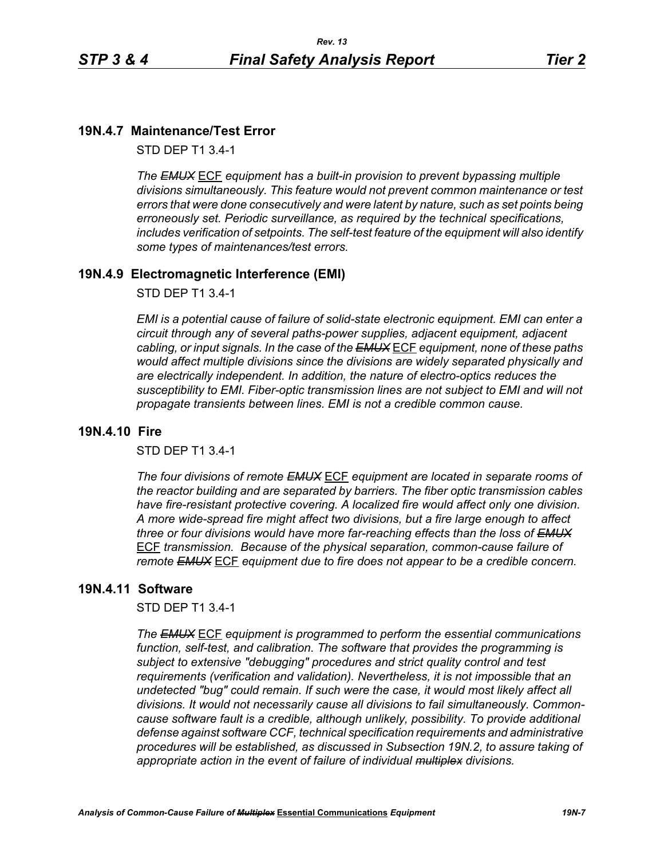# **19N.4.7 Maintenance/Test Error**

STD DEP T1 3.4-1

*The EMUX* ECF *equipment has a built-in provision to prevent bypassing multiple divisions simultaneously. This feature would not prevent common maintenance or test errors that were done consecutively and were latent by nature, such as set points being erroneously set. Periodic surveillance, as required by the technical specifications, includes verification of setpoints. The self-test feature of the equipment will also identify some types of maintenances/test errors.* 

# **19N.4.9 Electromagnetic Interference (EMI)**

STD DEP T1 3.4-1

*EMI is a potential cause of failure of solid-state electronic equipment. EMI can enter a circuit through any of several paths-power supplies, adjacent equipment, adjacent cabling, or input signals. In the case of the EMUX* ECF *equipment, none of these paths would affect multiple divisions since the divisions are widely separated physically and are electrically independent. In addition, the nature of electro-optics reduces the susceptibility to EMI. Fiber-optic transmission lines are not subject to EMI and will not propagate transients between lines. EMI is not a credible common cause.* 

## **19N.4.10 Fire**

STD DEP T1 3.4-1

*The four divisions of remote EMUX* ECF *equipment are located in separate rooms of the reactor building and are separated by barriers. The fiber optic transmission cables have fire-resistant protective covering. A localized fire would affect only one division. A more wide-spread fire might affect two divisions, but a fire large enough to affect three or four divisions would have more far-reaching effects than the loss of EMUX* ECF *transmission. Because of the physical separation, common-cause failure of remote EMUX* ECF *equipment due to fire does not appear to be a credible concern.* 

# **19N.4.11 Software**

STD DEP T1 3.4-1

*The EMUX* ECF *equipment is programmed to perform the essential communications function, self-test, and calibration. The software that provides the programming is subject to extensive "debugging" procedures and strict quality control and test requirements (verification and validation). Nevertheless, it is not impossible that an undetected "bug" could remain. If such were the case, it would most likely affect all divisions. It would not necessarily cause all divisions to fail simultaneously. Commoncause software fault is a credible, although unlikely, possibility. To provide additional defense against software CCF, technical specification requirements and administrative procedures will be established, as discussed in Subsection 19N.2, to assure taking of appropriate action in the event of failure of individual multiplex divisions.*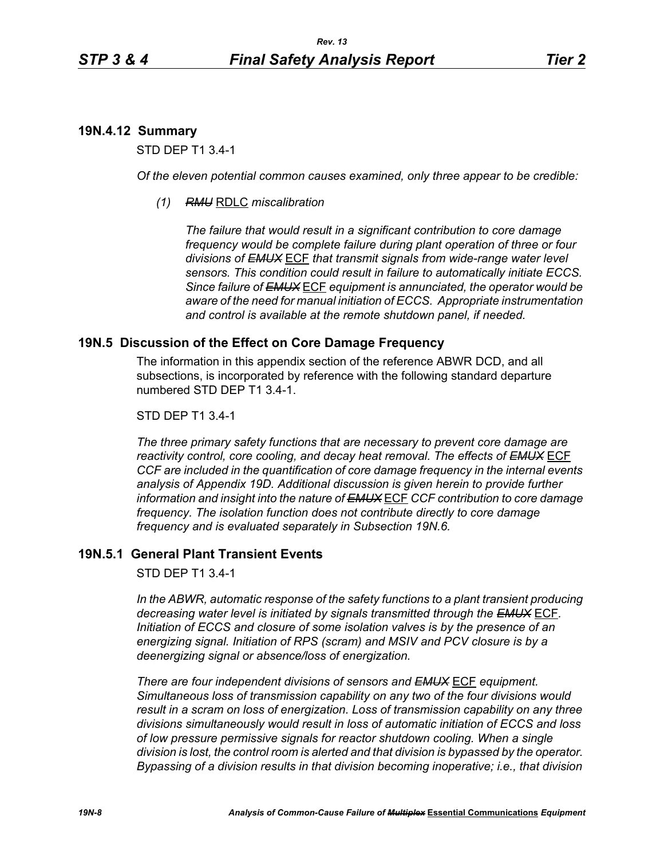# **19N.4.12 Summary**

STD DEP T1 3.4-1

*Of the eleven potential common causes examined, only three appear to be credible:* 

*(1) RMU* RDLC *miscalibration*

*The failure that would result in a significant contribution to core damage frequency would be complete failure during plant operation of three or four divisions of EMUX* ECF *that transmit signals from wide-range water level sensors. This condition could result in failure to automatically initiate ECCS. Since failure of EMUX* ECF *equipment is annunciated, the operator would be aware of the need for manual initiation of ECCS. Appropriate instrumentation and control is available at the remote shutdown panel, if needed.* 

# **19N.5 Discussion of the Effect on Core Damage Frequency**

The information in this appendix section of the reference ABWR DCD, and all subsections, is incorporated by reference with the following standard departure numbered STD DEP T1 3.4-1.

### STD DEP T1 3.4-1

*The three primary safety functions that are necessary to prevent core damage are reactivity control, core cooling, and decay heat removal. The effects of EMUX* ECF *CCF are included in the quantification of core damage frequency in the internal events analysis of Appendix 19D. Additional discussion is given herein to provide further information and insight into the nature of EMUX* ECF *CCF contribution to core damage frequency. The isolation function does not contribute directly to core damage frequency and is evaluated separately in Subsection 19N.6.* 

# **19N.5.1 General Plant Transient Events**

STD DEP T1 3.4-1

*In the ABWR, automatic response of the safety functions to a plant transient producing decreasing water level is initiated by signals transmitted through the EMUX* ECF*. Initiation of ECCS and closure of some isolation valves is by the presence of an energizing signal. Initiation of RPS (scram) and MSIV and PCV closure is by a deenergizing signal or absence/loss of energization.* 

*There are four independent divisions of sensors and EMUX* ECF *equipment. Simultaneous loss of transmission capability on any two of the four divisions would result in a scram on loss of energization. Loss of transmission capability on any three divisions simultaneously would result in loss of automatic initiation of ECCS and loss of low pressure permissive signals for reactor shutdown cooling. When a single division is lost, the control room is alerted and that division is bypassed by the operator. Bypassing of a division results in that division becoming inoperative; i.e., that division*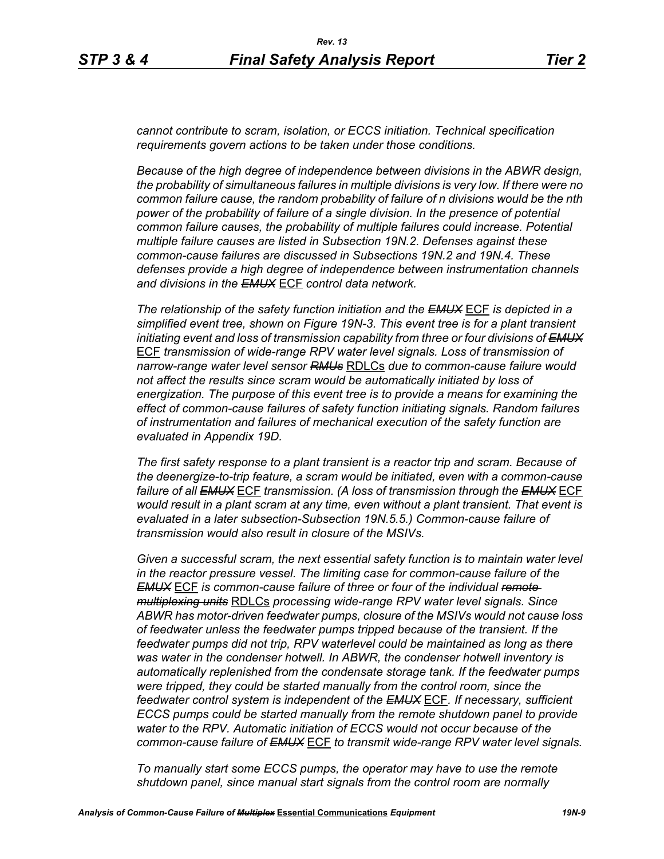*cannot contribute to scram, isolation, or ECCS initiation. Technical specification requirements govern actions to be taken under those conditions.* 

*Because of the high degree of independence between divisions in the ABWR design, the probability of simultaneous failures in multiple divisions is very low. If there were no common failure cause, the random probability of failure of n divisions would be the nth power of the probability of failure of a single division. In the presence of potential common failure causes, the probability of multiple failures could increase. Potential multiple failure causes are listed in Subsection 19N.2. Defenses against these common-cause failures are discussed in Subsections 19N.2 and 19N.4. These defenses provide a high degree of independence between instrumentation channels and divisions in the EMUX* ECF *control data network.* 

*The relationship of the safety function initiation and the EMUX* ECF *is depicted in a simplified event tree, shown on Figure 19N-3. This event tree is for a plant transient initiating event and loss of transmission capability from three or four divisions of EMUX* ECF *transmission of wide-range RPV water level signals. Loss of transmission of narrow-range water level sensor RMUs* RDLCs *due to common-cause failure would not affect the results since scram would be automatically initiated by loss of energization. The purpose of this event tree is to provide a means for examining the effect of common-cause failures of safety function initiating signals. Random failures of instrumentation and failures of mechanical execution of the safety function are evaluated in Appendix 19D.*

*The first safety response to a plant transient is a reactor trip and scram. Because of the deenergize-to-trip feature, a scram would be initiated, even with a common-cause failure of all EMUX* ECF *transmission. (A loss of transmission through the EMUX* ECF *would result in a plant scram at any time, even without a plant transient. That event is evaluated in a later subsection-Subsection 19N.5.5.) Common-cause failure of transmission would also result in closure of the MSIVs.* 

*Given a successful scram, the next essential safety function is to maintain water level in the reactor pressure vessel. The limiting case for common-cause failure of the EMUX* ECF *is common-cause failure of three or four of the individual remote multiplexing units* RDLCs *processing wide-range RPV water level signals. Since ABWR has motor-driven feedwater pumps, closure of the MSIVs would not cause loss of feedwater unless the feedwater pumps tripped because of the transient. If the feedwater pumps did not trip, RPV waterlevel could be maintained as long as there was water in the condenser hotwell. In ABWR, the condenser hotwell inventory is automatically replenished from the condensate storage tank. If the feedwater pumps were tripped, they could be started manually from the control room, since the feedwater control system is independent of the EMUX* ECF*. If necessary, sufficient ECCS pumps could be started manually from the remote shutdown panel to provide water to the RPV. Automatic initiation of ECCS would not occur because of the common-cause failure of EMUX* ECF *to transmit wide-range RPV water level signals.* 

*To manually start some ECCS pumps, the operator may have to use the remote shutdown panel, since manual start signals from the control room are normally*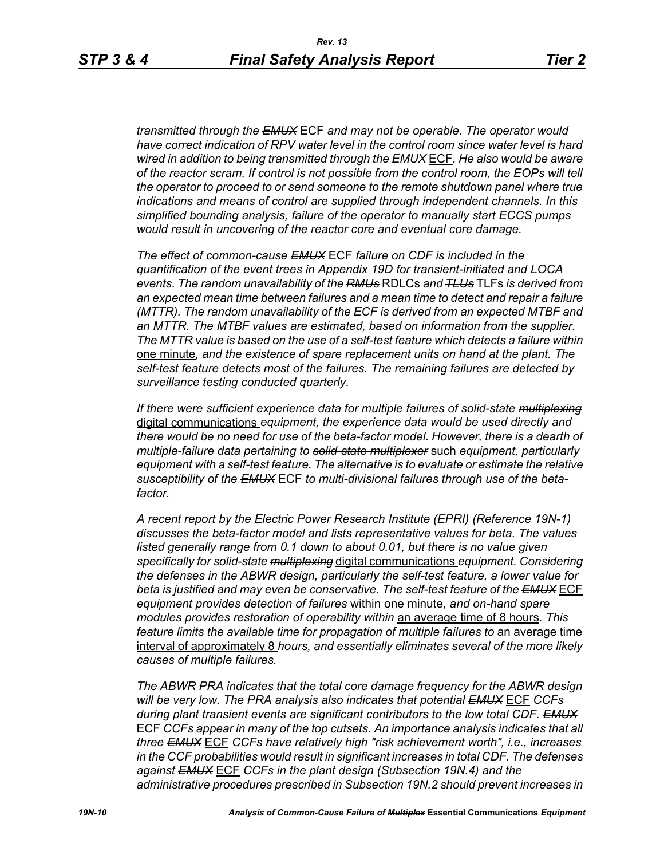*transmitted through the EMUX* ECF *and may not be operable. The operator would have correct indication of RPV water level in the control room since water level is hard wired in addition to being transmitted through the EMUX* ECF*. He also would be aware of the reactor scram. If control is not possible from the control room, the EOPs will tell the operator to proceed to or send someone to the remote shutdown panel where true indications and means of control are supplied through independent channels. In this simplified bounding analysis, failure of the operator to manually start ECCS pumps would result in uncovering of the reactor core and eventual core damage.*

*The effect of common-cause EMUX* ECF *failure on CDF is included in the quantification of the event trees in Appendix 19D for transient-initiated and LOCA events. The random unavailability of the RMUs* RDLCs *and TLUs* TLFs *is derived from an expected mean time between failures and a mean time to detect and repair a failure (MTTR). The random unavailability of the ECF is derived from an expected MTBF and an MTTR. The MTBF values are estimated, based on information from the supplier. The MTTR value is based on the use of a self-test feature which detects a failure within*  one minute*, and the existence of spare replacement units on hand at the plant. The self-test feature detects most of the failures. The remaining failures are detected by surveillance testing conducted quarterly.* 

*If there were sufficient experience data for multiple failures of solid-state multiplexing* digital communications *equipment, the experience data would be used directly and there would be no need for use of the beta-factor model. However, there is a dearth of multiple-failure data pertaining to solid-state multiplexer* such *equipment, particularly equipment with a self-test feature. The alternative is to evaluate or estimate the relative susceptibility of the EMUX* ECF *to multi-divisional failures through use of the betafactor.* 

*A recent report by the Electric Power Research Institute (EPRI) (Reference 19N-1) discusses the beta-factor model and lists representative values for beta. The values*  listed generally range from 0.1 down to about 0.01, but there is no value given *specifically for solid-state multiplexing* digital communications *equipment. Considering the defenses in the ABWR design, particularly the self-test feature, a lower value for beta is justified and may even be conservative. The self-test feature of the EMUX* ECF *equipment provides detection of failures* within one minute*, and on-hand spare modules provides restoration of operability within* an average time of 8 hours*. This feature limits the available time for propagation of multiple failures to an average time* interval of approximately 8 *hours, and essentially eliminates several of the more likely causes of multiple failures.* 

*The ABWR PRA indicates that the total core damage frequency for the ABWR design will be very low. The PRA analysis also indicates that potential EMUX* ECF *CCFs during plant transient events are significant contributors to the low total CDF. EMUX* ECF *CCFs appear in many of the top cutsets. An importance analysis indicates that all three EMUX* ECF *CCFs have relatively high "risk achievement worth", i.e., increases in the CCF probabilities would result in significant increases in total CDF. The defenses against EMUX* ECF *CCFs in the plant design (Subsection 19N.4) and the administrative procedures prescribed in Subsection 19N.2 should prevent increases in*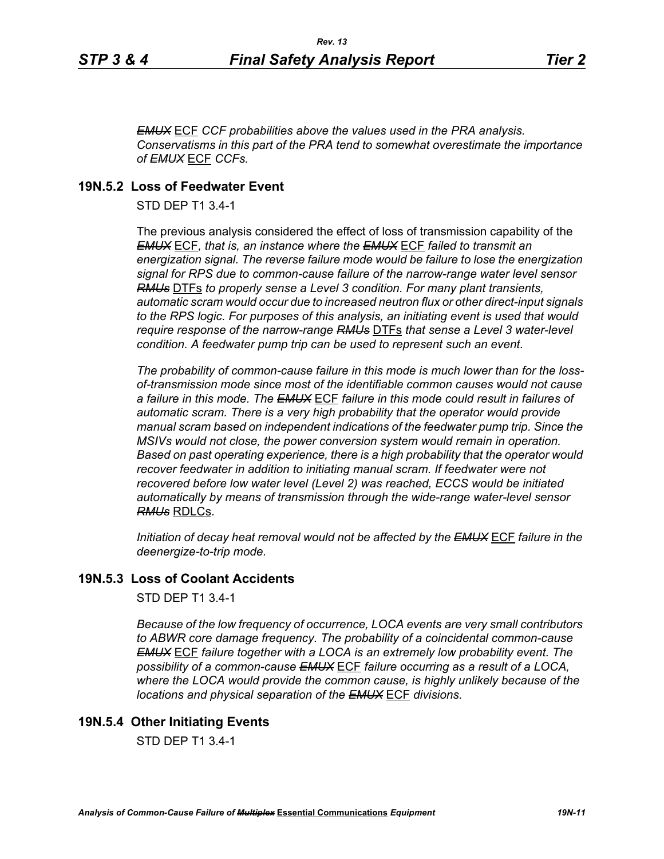*EMUX* ECF *CCF probabilities above the values used in the PRA analysis. Conservatisms in this part of the PRA tend to somewhat overestimate the importance of EMUX* ECF *CCFs.* 

# **19N.5.2 Loss of Feedwater Event**

STD DEP T1 3.4-1

The previous analysis considered the effect of loss of transmission capability of the *EMUX* ECF*, that is, an instance where the EMUX* ECF *failed to transmit an energization signal. The reverse failure mode would be failure to lose the energization signal for RPS due to common-cause failure of the narrow-range water level sensor RMUs* DTFs *to properly sense a Level 3 condition. For many plant transients, automatic scram would occur due to increased neutron flux or other direct-input signals to the RPS logic. For purposes of this analysis, an initiating event is used that would require response of the narrow-range RMUs* DTFs *that sense a Level 3 water-level condition. A feedwater pump trip can be used to represent such an event.*

*The probability of common-cause failure in this mode is much lower than for the lossof-transmission mode since most of the identifiable common causes would not cause a failure in this mode. The EMUX* ECF *failure in this mode could result in failures of*  automatic scram. There is a very high probability that the operator would provide *manual scram based on independent indications of the feedwater pump trip. Since the MSIVs would not close, the power conversion system would remain in operation. Based on past operating experience, there is a high probability that the operator would recover feedwater in addition to initiating manual scram. If feedwater were not recovered before low water level (Level 2) was reached, ECCS would be initiated automatically by means of transmission through the wide-range water-level sensor RMUs* RDLCs.

*Initiation of decay heat removal would not be affected by the EMUX* ECF *failure in the deenergize-to-trip mode.*

# **19N.5.3 Loss of Coolant Accidents**

STD DEP T1 3.4-1

*Because of the low frequency of occurrence, LOCA events are very small contributors to ABWR core damage frequency. The probability of a coincidental common-cause EMUX* ECF *failure together with a LOCA is an extremely low probability event. The possibility of a common-cause EMUX* ECF *failure occurring as a result of a LOCA, where the LOCA would provide the common cause, is highly unlikely because of the locations and physical separation of the EMUX* ECF *divisions.* 

# **19N.5.4 Other Initiating Events**

STD DEP T1 3.4-1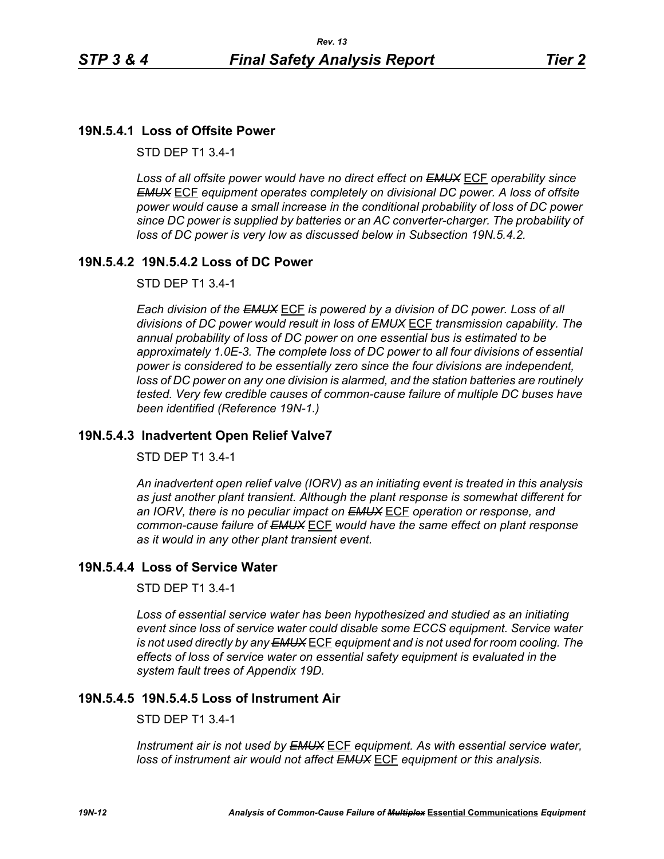# **19N.5.4.1 Loss of Offsite Power**

STD DEP T1 3.4-1

*Loss of all offsite power would have no direct effect on EMUX* ECF *operability since EMUX* ECF *equipment operates completely on divisional DC power. A loss of offsite power would cause a small increase in the conditional probability of loss of DC power since DC power is supplied by batteries or an AC converter-charger. The probability of loss of DC power is very low as discussed below in Subsection 19N.5.4.2.* 

# **19N.5.4.2 19N.5.4.2 Loss of DC Power**

STD DEP T1 3.4-1

*Each division of the EMUX* ECF *is powered by a division of DC power. Loss of all divisions of DC power would result in loss of EMUX* ECF *transmission capability. The annual probability of loss of DC power on one essential bus is estimated to be approximately 1.0E-3. The complete loss of DC power to all four divisions of essential power is considered to be essentially zero since the four divisions are independent, loss of DC power on any one division is alarmed, and the station batteries are routinely tested. Very few credible causes of common-cause failure of multiple DC buses have been identified (Reference 19N-1.)*

# **19N.5.4.3 Inadvertent Open Relief Valve7**

STD DEP T1 3.4-1

*An inadvertent open relief valve (IORV) as an initiating event is treated in this analysis as just another plant transient. Although the plant response is somewhat different for an IORV, there is no peculiar impact on EMUX* ECF *operation or response, and common-cause failure of EMUX* ECF *would have the same effect on plant response as it would in any other plant transient event.*

# **19N.5.4.4 Loss of Service Water**

STD DEP T1 3.4-1

*Loss of essential service water has been hypothesized and studied as an initiating event since loss of service water could disable some ECCS equipment. Service water is not used directly by any EMUX* ECF *equipment and is not used for room cooling. The effects of loss of service water on essential safety equipment is evaluated in the system fault trees of Appendix 19D.* 

# **19N.5.4.5 19N.5.4.5 Loss of Instrument Air**

STD DEP T1 3.4-1

*Instrument air is not used by EMUX* ECF *equipment. As with essential service water, loss of instrument air would not affect EMUX* ECF *equipment or this analysis.*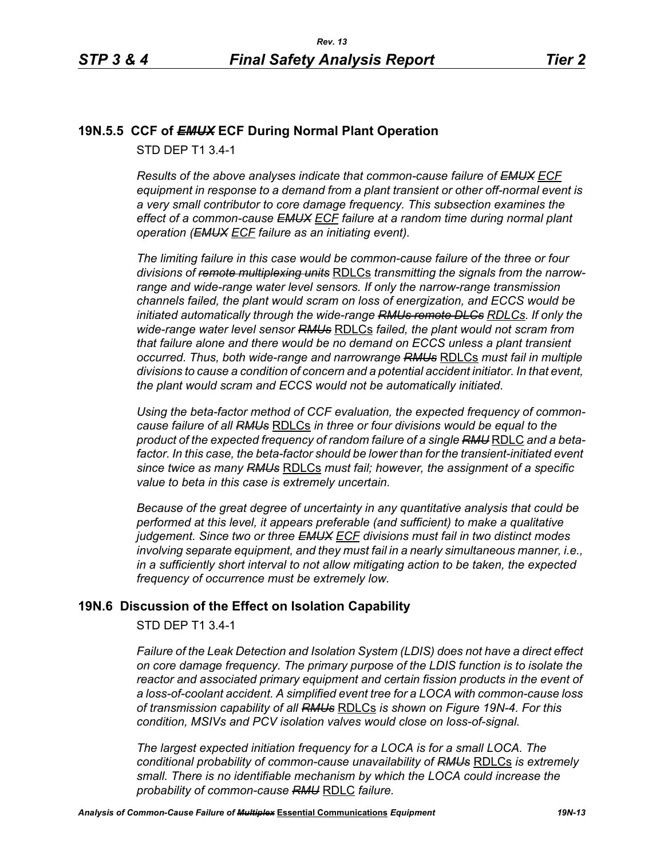# **19N.5.5 CCF of** *EMUX* **ECF During Normal Plant Operation**

STD DEP T1 3.4-1

*Results of the above analyses indicate that common-cause failure of EMUX ECF equipment in response to a demand from a plant transient or other off-normal event is a very small contributor to core damage frequency. This subsection examines the effect of a common-cause EMUX ECF failure at a random time during normal plant operation (EMUX ECF failure as an initiating event).* 

*The limiting failure in this case would be common-cause failure of the three or four divisions of remote multiplexing units* RDLCs *transmitting the signals from the narrowrange and wide-range water level sensors. If only the narrow-range transmission channels failed, the plant would scram on loss of energization, and ECCS would be initiated automatically through the wide-range RMUs remote DLCs RDLCs. If only the wide-range water level sensor RMUs* RDLCs *failed, the plant would not scram from that failure alone and there would be no demand on ECCS unless a plant transient occurred. Thus, both wide-range and narrowrange RMUs* RDLCs *must fail in multiple divisions to cause a condition of concern and a potential accident initiator. In that event, the plant would scram and ECCS would not be automatically initiated.* 

*Using the beta-factor method of CCF evaluation, the expected frequency of commoncause failure of all RMUs* RDLCs *in three or four divisions would be equal to the product of the expected frequency of random failure of a single RMU* RDLC *and a beta*factor. In this case, the beta-factor should be lower than for the transient-initiated event *since twice as many RMUs* RDLCs *must fail; however, the assignment of a specific value to beta in this case is extremely uncertain.* 

*Because of the great degree of uncertainty in any quantitative analysis that could be performed at this level, it appears preferable (and sufficient) to make a qualitative judgement. Since two or three EMUX ECF divisions must fail in two distinct modes involving separate equipment, and they must fail in a nearly simultaneous manner, i.e., in a sufficiently short interval to not allow mitigating action to be taken, the expected frequency of occurrence must be extremely low.*

# **19N.6 Discussion of the Effect on Isolation Capability**

STD DEP T1 3.4-1

*Failure of the Leak Detection and Isolation System (LDIS) does not have a direct effect on core damage frequency. The primary purpose of the LDIS function is to isolate the reactor and associated primary equipment and certain fission products in the event of a loss-of-coolant accident. A simplified event tree for a LOCA with common-cause loss of transmission capability of all RMUs* RDLCs *is shown on Figure 19N-4. For this condition, MSIVs and PCV isolation valves would close on loss-of-signal.* 

*The largest expected initiation frequency for a LOCA is for a small LOCA. The conditional probability of common-cause unavailability of RMUs* RDLCs *is extremely small. There is no identifiable mechanism by which the LOCA could increase the probability of common-cause RMU* RDLC *failure.*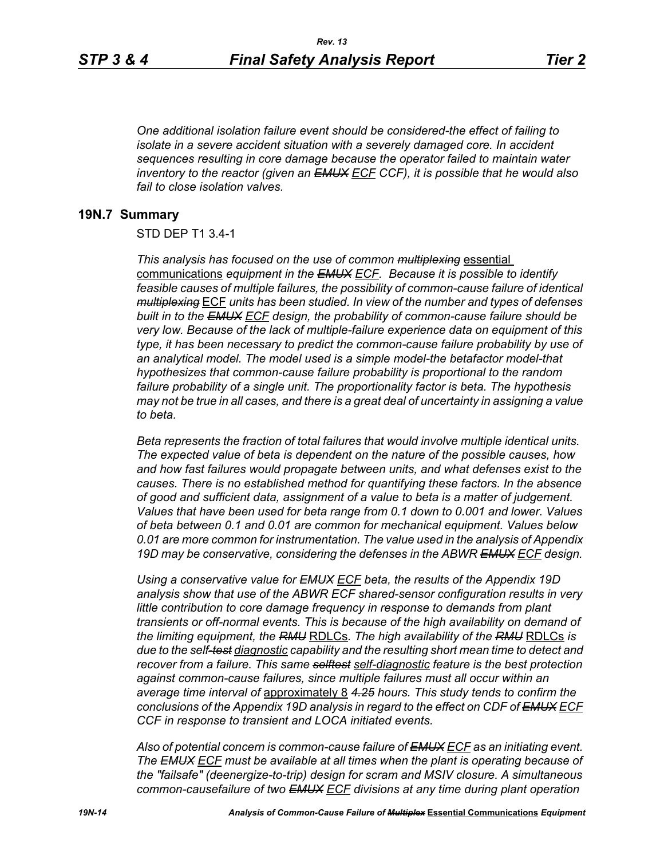*One additional isolation failure event should be considered-the effect of failing to isolate in a severe accident situation with a severely damaged core. In accident sequences resulting in core damage because the operator failed to maintain water inventory to the reactor (given an EMUX ECF CCF), it is possible that he would also fail to close isolation valves.*

### **19N.7 Summary**

### STD DEP T1 3.4-1

*This analysis has focused on the use of common multiplexing* essential communications *equipment in the EMUX ECF. Because it is possible to identify feasible causes of multiple failures, the possibility of common-cause failure of identical multiplexing* ECF *units has been studied. In view of the number and types of defenses built in to the EMUX ECF design, the probability of common-cause failure should be very low. Because of the lack of multiple-failure experience data on equipment of this type, it has been necessary to predict the common-cause failure probability by use of an analytical model. The model used is a simple model-the betafactor model-that hypothesizes that common-cause failure probability is proportional to the random failure probability of a single unit. The proportionality factor is beta. The hypothesis may not be true in all cases, and there is a great deal of uncertainty in assigning a value to beta.* 

*Beta represents the fraction of total failures that would involve multiple identical units. The expected value of beta is dependent on the nature of the possible causes, how and how fast failures would propagate between units, and what defenses exist to the causes. There is no established method for quantifying these factors. In the absence of good and sufficient data, assignment of a value to beta is a matter of judgement. Values that have been used for beta range from 0.1 down to 0.001 and lower. Values of beta between 0.1 and 0.01 are common for mechanical equipment. Values below 0.01 are more common for instrumentation. The value used in the analysis of Appendix 19D may be conservative, considering the defenses in the ABWR EMUX ECF design.* 

*Using a conservative value for EMUX ECF beta, the results of the Appendix 19D analysis show that use of the ABWR ECF shared-sensor configuration results in very little contribution to core damage frequency in response to demands from plant transients or off-normal events. This is because of the high availability on demand of the limiting equipment, the RMU* RDLCs*. The high availability of the RMU* RDLCs *is due to the self-test diagnostic capability and the resulting short mean time to detect and recover from a failure. This same selftest self-diagnostic feature is the best protection against common-cause failures, since multiple failures must all occur within an average time interval of* approximately 8 *4.25 hours. This study tends to confirm the conclusions of the Appendix 19D analysis in regard to the effect on CDF of EMUX ECF CCF in response to transient and LOCA initiated events.*

*Also of potential concern is common-cause failure of EMUX ECF as an initiating event. The EMUX ECF must be available at all times when the plant is operating because of the "failsafe" (deenergize-to-trip) design for scram and MSIV closure. A simultaneous common-causefailure of two EMUX ECF divisions at any time during plant operation*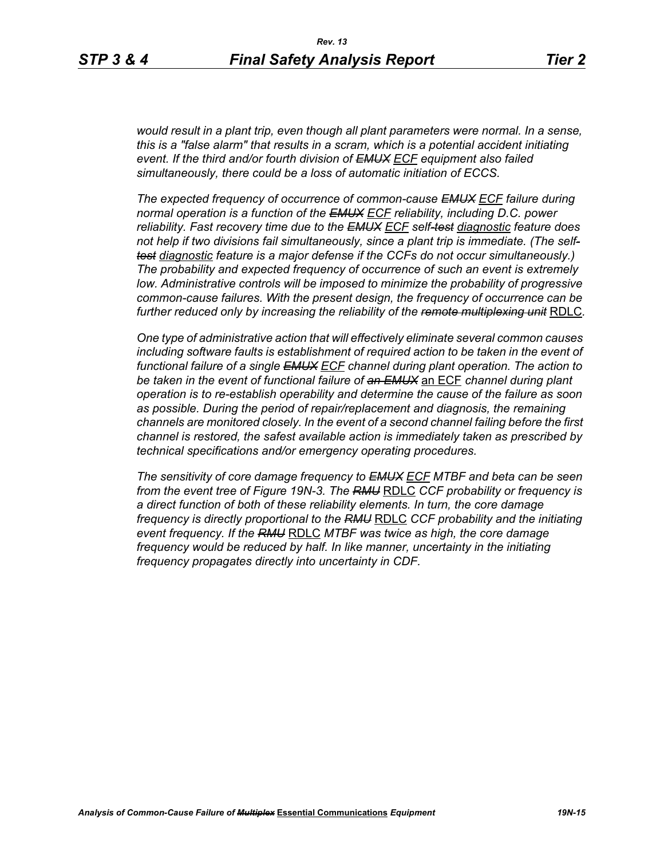*would result in a plant trip, even though all plant parameters were normal. In a sense, this is a "false alarm" that results in a scram, which is a potential accident initiating event. If the third and/or fourth division of EMUX ECF equipment also failed simultaneously, there could be a loss of automatic initiation of ECCS.* 

*The expected frequency of occurrence of common-cause EMUX ECF failure during normal operation is a function of the EMUX ECF reliability, including D.C. power reliability. Fast recovery time due to the EMUX ECF self-test diagnostic feature does not help if two divisions fail simultaneously, since a plant trip is immediate. (The selftest diagnostic feature is a major defense if the CCFs do not occur simultaneously.) The probability and expected frequency of occurrence of such an event is extremely low. Administrative controls will be imposed to minimize the probability of progressive common-cause failures. With the present design, the frequency of occurrence can be further reduced only by increasing the reliability of the remote multiplexing unit* RDLC*.*

*One type of administrative action that will effectively eliminate several common causes including software faults is establishment of required action to be taken in the event of* functional failure of a single **EMUX** ECF channel during plant operation. The action to *be taken in the event of functional failure of an EMUX* an ECF *channel during plant operation is to re-establish operability and determine the cause of the failure as soon as possible. During the period of repair/replacement and diagnosis, the remaining channels are monitored closely. In the event of a second channel failing before the first channel is restored, the safest available action is immediately taken as prescribed by technical specifications and/or emergency operating procedures.* 

*The sensitivity of core damage frequency to EMUX ECF MTBF and beta can be seen from the event tree of Figure 19N-3. The RMU* RDLC *CCF probability or frequency is a direct function of both of these reliability elements. In turn, the core damage frequency is directly proportional to the RMU* RDLC *CCF probability and the initiating event frequency. If the RMU* RDLC *MTBF was twice as high, the core damage frequency would be reduced by half. In like manner, uncertainty in the initiating frequency propagates directly into uncertainty in CDF.*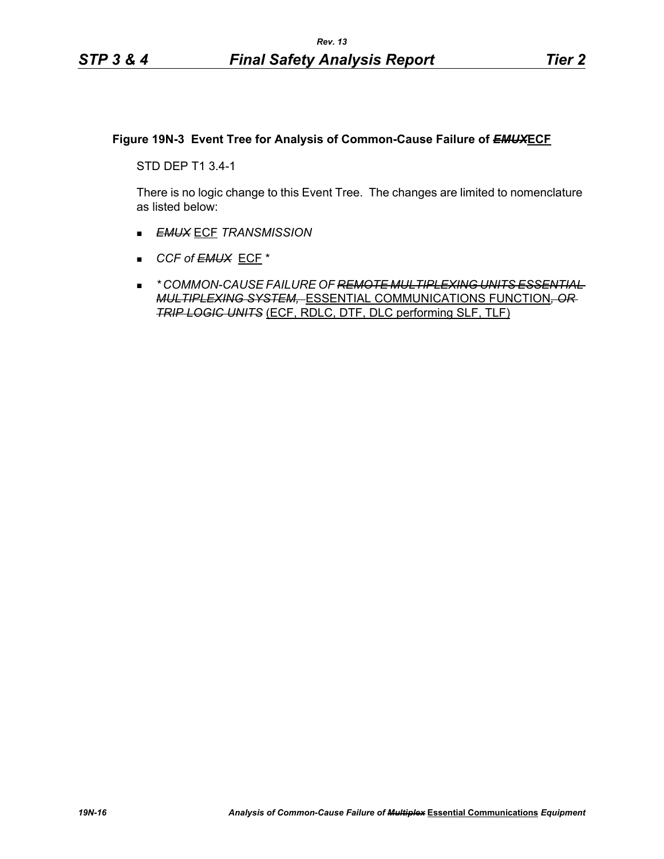# **Figure 19N-3 Event Tree for Analysis of Common-Cause Failure of** *EMUX***ECF**

STD DEP T1 3.4-1

There is no logic change to this Event Tree. The changes are limited to nomenclature as listed below:

- *EMUX* ECF *TRANSMISSION*
- *CCF of EMUX* ECF \*
- *\* COMMON-CAUSE FAILURE OF REMOTE MULTIPLEXING UNITS ESSENTIAL MULTIPLEXING SYSTEM,* ESSENTIAL COMMUNICATIONS FUNCTION*, OR TRIP LOGIC UNITS* (ECF, RDLC, DTF, DLC performing SLF, TLF)